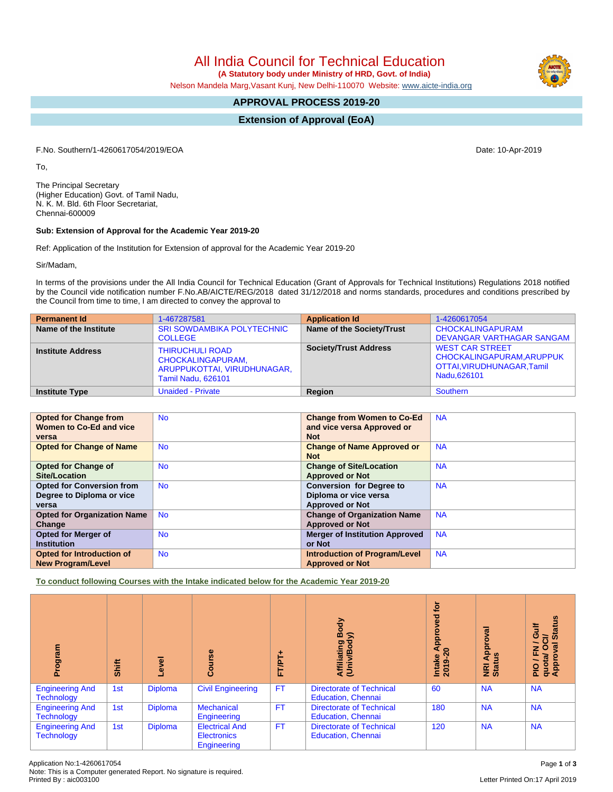All India Council for Technical Education

 **(A Statutory body under Ministry of HRD, Govt. of India)**

Nelson Mandela Marg,Vasant Kunj, New Delhi-110070 Website: [www.aicte-india.org](http://www.aicte-india.org)

# **APPROVAL PROCESS 2019-20**

**Extension of Approval (EoA)**

F.No. Southern/1-4260617054/2019/EOA Date: 10-Apr-2019

To,

The Principal Secretary (Higher Education) Govt. of Tamil Nadu, N. K. M. Bld. 6th Floor Secretariat, Chennai-600009

# **Sub: Extension of Approval for the Academic Year 2019-20**

Ref: Application of the Institution for Extension of approval for the Academic Year 2019-20

Sir/Madam,

In terms of the provisions under the All India Council for Technical Education (Grant of Approvals for Technical Institutions) Regulations 2018 notified by the Council vide notification number F.No.AB/AICTE/REG/2018 dated 31/12/2018 and norms standards, procedures and conditions prescribed by the Council from time to time, I am directed to convey the approval to

| <b>Permanent Id</b>      | 1-467287581                                                                                                    | <b>Application Id</b>        | 1-4260617054                                                                                     |
|--------------------------|----------------------------------------------------------------------------------------------------------------|------------------------------|--------------------------------------------------------------------------------------------------|
| Name of the Institute    | <b>SRI SOWDAMBIKA POLYTECHNIC</b><br><b>COLLEGE</b>                                                            | Name of the Society/Trust    | <b>CHOCKALINGAPURAM</b><br>DEVANGAR VARTHAGAR SANGAM                                             |
| <b>Institute Address</b> | <b>THIRUCHULI ROAD</b><br><b>CHOCKALINGAPURAM,</b><br>ARUPPUKOTTAI, VIRUDHUNAGAR,<br><b>Tamil Nadu, 626101</b> | <b>Society/Trust Address</b> | <b>WEST CAR STREET</b><br>CHOCKALINGAPURAM, ARUPPUK<br>OTTAI, VIRUDHUNAGAR, Tamil<br>Nadu.626101 |
| <b>Institute Type</b>    | <b>Unaided - Private</b>                                                                                       | Region                       | Southern                                                                                         |

| <b>Opted for Change from</b>       | <b>No</b> | <b>Change from Women to Co-Ed</b>     | <b>NA</b> |
|------------------------------------|-----------|---------------------------------------|-----------|
| Women to Co-Ed and vice            |           | and vice versa Approved or            |           |
|                                    |           |                                       |           |
| versa                              |           | <b>Not</b>                            |           |
| <b>Opted for Change of Name</b>    | <b>No</b> | <b>Change of Name Approved or</b>     | <b>NA</b> |
|                                    |           | <b>Not</b>                            |           |
| <b>Opted for Change of</b>         | <b>No</b> | <b>Change of Site/Location</b>        | <b>NA</b> |
| <b>Site/Location</b>               |           | <b>Approved or Not</b>                |           |
| <b>Opted for Conversion from</b>   | <b>No</b> | <b>Conversion for Degree to</b>       | <b>NA</b> |
| Degree to Diploma or vice          |           | Diploma or vice versa                 |           |
| versa                              |           | <b>Approved or Not</b>                |           |
| <b>Opted for Organization Name</b> | <b>No</b> | <b>Change of Organization Name</b>    | <b>NA</b> |
| Change                             |           | <b>Approved or Not</b>                |           |
| <b>Opted for Merger of</b>         | <b>No</b> | <b>Merger of Institution Approved</b> | <b>NA</b> |
| <b>Institution</b>                 |           | or Not                                |           |
| <b>Opted for Introduction of</b>   | <b>No</b> | <b>Introduction of Program/Level</b>  | <b>NA</b> |
| <b>New Program/Level</b>           |           | <b>Approved or Not</b>                |           |

**To conduct following Courses with the Intake indicated below for the Academic Year 2019-20**

| mediou<br>ā                                 | Shift | Level          | Course                                                     | FT/PT+    | Body<br>⋦<br>Affiliating<br>(Univ/Bod <sub>)</sub>           | for<br>yed<br>Intake Approv<br>2019-20 | हा<br><b>App</b><br><b>NRI Ap<br/>Status</b> | <b>Status</b><br>₹<br>ဖ<br>ੋ<br>∽<br>w<br>준<br>O<br>quota/<br>Approv<br>∽<br>$rac{Q}{R}$ |
|---------------------------------------------|-------|----------------|------------------------------------------------------------|-----------|--------------------------------------------------------------|----------------------------------------|----------------------------------------------|------------------------------------------------------------------------------------------|
| <b>Engineering And</b><br><b>Technology</b> | 1st   | <b>Diploma</b> | <b>Civil Engineering</b>                                   | <b>FT</b> | <b>Directorate of Technical</b><br><b>Education, Chennai</b> | 60                                     | <b>NA</b>                                    | <b>NA</b>                                                                                |
| <b>Engineering And</b><br><b>Technology</b> | 1st   | <b>Diploma</b> | <b>Mechanical</b><br>Engineering                           | <b>FT</b> | <b>Directorate of Technical</b><br><b>Education, Chennai</b> | 180                                    | <b>NA</b>                                    | <b>NA</b>                                                                                |
| <b>Engineering And</b><br><b>Technology</b> | 1st   | <b>Diploma</b> | <b>Electrical And</b><br><b>Electronics</b><br>Engineering | <b>FT</b> | <b>Directorate of Technical</b><br><b>Education, Chennai</b> | 120                                    | <b>NA</b>                                    | <b>NA</b>                                                                                |

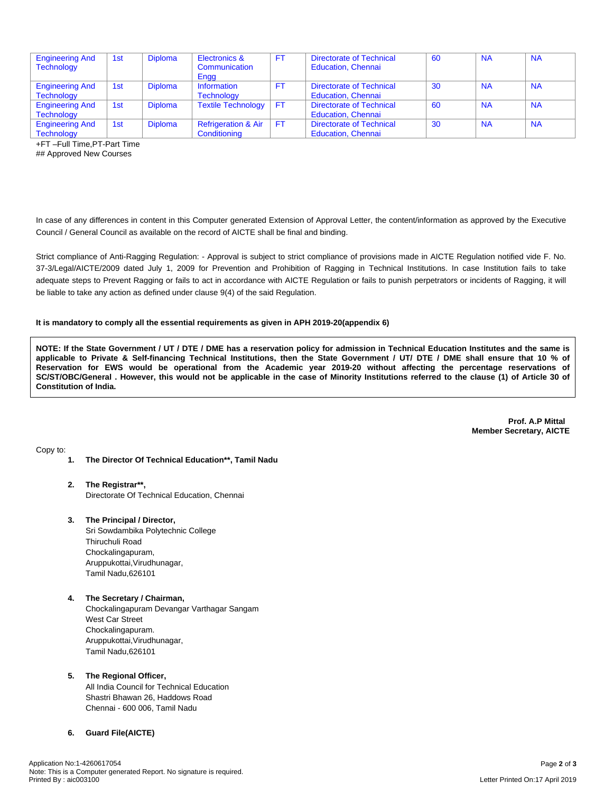| <b>Engineering And</b><br><b>Technology</b> | 1st | <b>Diploma</b> | Electronics &<br>Communication<br>Engg         | FT.       | <b>Directorate of Technical</b><br><b>Education, Chennai</b> | 60 | <b>NA</b> | <b>NA</b> |
|---------------------------------------------|-----|----------------|------------------------------------------------|-----------|--------------------------------------------------------------|----|-----------|-----------|
| <b>Engineering And</b><br><b>Technology</b> | 1st | <b>Diploma</b> | Information<br><b>Technology</b>               | FT.       | Directorate of Technical<br><b>Education, Chennai</b>        | 30 | <b>NA</b> | <b>NA</b> |
| <b>Engineering And</b><br><b>Technology</b> | 1st | <b>Diploma</b> | <b>Textile Technology</b>                      | FT        | <b>Directorate of Technical</b><br><b>Education, Chennai</b> | 60 | <b>NA</b> | <b>NA</b> |
| <b>Engineering And</b><br><b>Technology</b> | 1st | <b>Diploma</b> | <b>Refrigeration &amp; Air</b><br>Conditioning | <b>FT</b> | <b>Directorate of Technical</b><br><b>Education, Chennai</b> | 30 | <b>NA</b> | <b>NA</b> |

+FT –Full Time,PT-Part Time

## Approved New Courses

In case of any differences in content in this Computer generated Extension of Approval Letter, the content/information as approved by the Executive Council / General Council as available on the record of AICTE shall be final and binding.

Strict compliance of Anti-Ragging Regulation: - Approval is subject to strict compliance of provisions made in AICTE Regulation notified vide F. No. 37-3/Legal/AICTE/2009 dated July 1, 2009 for Prevention and Prohibition of Ragging in Technical Institutions. In case Institution fails to take adequate steps to Prevent Ragging or fails to act in accordance with AICTE Regulation or fails to punish perpetrators or incidents of Ragging, it will be liable to take any action as defined under clause 9(4) of the said Regulation.

#### **It is mandatory to comply all the essential requirements as given in APH 2019-20(appendix 6)**

NOTE: If the State Government / UT / DTE / DME has a reservation policy for admission in Technical Education Institutes and the same is applicable to Private & Self-financing Technical Institutions, then the State Government / UT/ DTE / DME shall ensure that 10 % of Reservation for EWS would be operational from the Academic year 2019-20 without affecting the percentage reservations of SC/ST/OBC/General . However, this would not be applicable in the case of Minority Institutions referred to the clause (1) of Article 30 of **Constitution of India.**

> **Prof. A.P Mittal Member Secretary, AICTE**

Copy to:

- **1. The Director Of Technical Education\*\*, Tamil Nadu**
- **2. The Registrar\*\*,** Directorate Of Technical Education, Chennai
- **3. The Principal / Director,**

Sri Sowdambika Polytechnic College Thiruchuli Road Chockalingapuram, Aruppukottai,Virudhunagar, Tamil Nadu,626101

**4. The Secretary / Chairman,** Chockalingapuram Devangar Varthagar Sangam West Car Street Chockalingapuram. Aruppukottai,Virudhunagar, Tamil Nadu,626101

## **5. The Regional Officer,**

All India Council for Technical Education Shastri Bhawan 26, Haddows Road Chennai - 600 006, Tamil Nadu

## **6. Guard File(AICTE)**